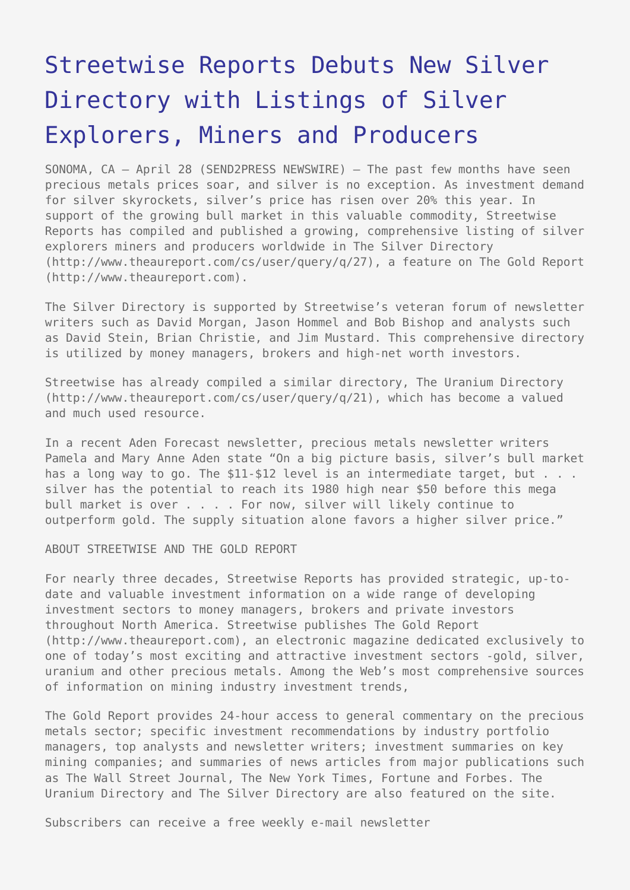## [Streetwise Reports Debuts New Silver](https://www.send2press.com/wire/2006-04-0428-001/) [Directory with Listings of Silver](https://www.send2press.com/wire/2006-04-0428-001/) [Explorers, Miners and Producers](https://www.send2press.com/wire/2006-04-0428-001/)

SONOMA, CA – April 28 (SEND2PRESS NEWSWIRE) — The past few months have seen precious metals prices soar, and silver is no exception. As investment demand for silver skyrockets, silver's price has risen over 20% this year. In support of the growing bull market in this valuable commodity, Streetwise Reports has compiled and published a growing, comprehensive listing of silver explorers miners and producers worldwide in The Silver Directory (http://www.theaureport.com/cs/user/query/q/27), a feature on The Gold Report (http://www.theaureport.com).

The Silver Directory is supported by Streetwise's veteran forum of newsletter writers such as David Morgan, Jason Hommel and Bob Bishop and analysts such as David Stein, Brian Christie, and Jim Mustard. This comprehensive directory is utilized by money managers, brokers and high-net worth investors.

Streetwise has already compiled a similar directory, The Uranium Directory (http://www.theaureport.com/cs/user/query/q/21), which has become a valued and much used resource.

In a recent Aden Forecast newsletter, precious metals newsletter writers Pamela and Mary Anne Aden state "On a big picture basis, silver's bull market has a long way to go. The \$11-\$12 level is an intermediate target, but . . . silver has the potential to reach its 1980 high near \$50 before this mega bull market is over . . . . For now, silver will likely continue to outperform gold. The supply situation alone favors a higher silver price."

ABOUT STREETWISE AND THE GOLD REPORT

For nearly three decades, Streetwise Reports has provided strategic, up-todate and valuable investment information on a wide range of developing investment sectors to money managers, brokers and private investors throughout North America. Streetwise publishes The Gold Report (http://www.theaureport.com), an electronic magazine dedicated exclusively to one of today's most exciting and attractive investment sectors -gold, silver, uranium and other precious metals. Among the Web's most comprehensive sources of information on mining industry investment trends,

The Gold Report provides 24-hour access to general commentary on the precious metals sector; specific investment recommendations by industry portfolio managers, top analysts and newsletter writers; investment summaries on key mining companies; and summaries of news articles from major publications such as The Wall Street Journal, The New York Times, Fortune and Forbes. The Uranium Directory and The Silver Directory are also featured on the site.

Subscribers can receive a free weekly e-mail newsletter